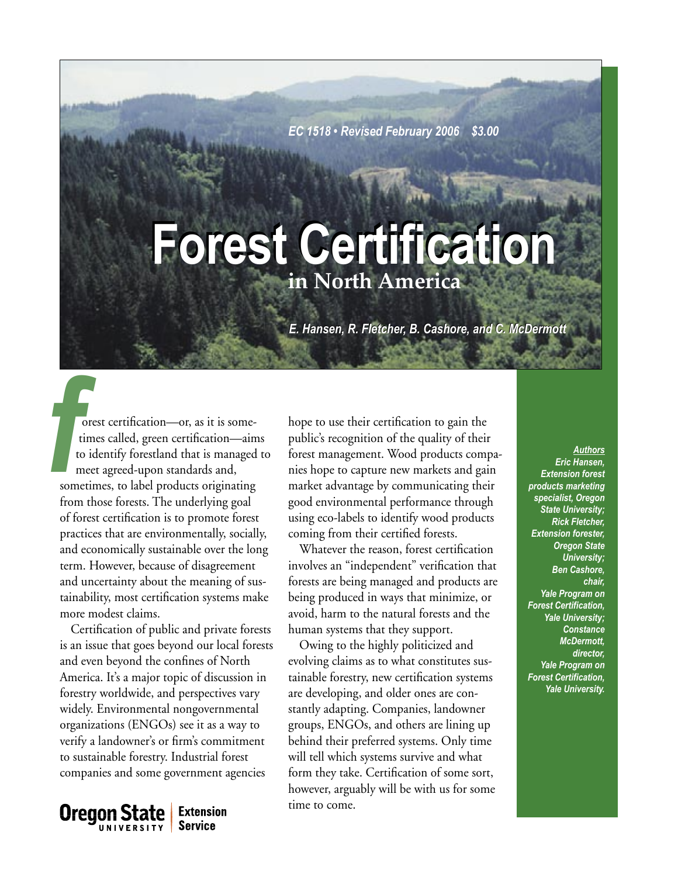*EC 1518 • Revised February 2006 \$3.00*

# **in North America Forest Certification Forest Certification**

*E. Hansen, R. Fletcher, B. Cashore, and C. McDermott E. Hansen, R. Fletcher, B. C. McDermott* 

Fig. and the times called, green certification—or, as it is some-<br>
times called, green certification—aims<br>
to identify forestland that is managed to<br>
sometimes, to label products originating<br>  $\frac{Authors}{Richensen}$ <br>
sometimes, to orest certification—or, as it is some times called, green certification—aims to identify forestland that is managed to meet agreed-upon standards and, sometimes, to label products originating from those forests. The underlying goal of forest certification is to promote forest practices that are environmentally, socially, and economically sustainable over the long term. However, because of disagreement and uncertainty about the meaning of sustainability, most certification systems make more modest claims.

Certification of public and private forests is an issue that goes beyond our local forests and even beyond the confines of North America. It's a major topic of discussion in forestry worldwide, and perspectives vary widely. Environmental nongovernmental organizations (ENGOs) see it as a way to verify a landowner's or firm's commitment to sustainable forestry. Industrial forest companies and some government agencies

**Oregon State Extension Service** UNIVERSITY

hope to use their certification to gain the public's recognition of the quality of their forest management. Wood products companies hope to capture new markets and gain market advantage by communicating their good environmental performance through using eco-labels to identify wood products coming from their certified forests.

Whatever the reason, forest certification involves an "independent" verification that forests are being managed and products are being produced in ways that minimize, or avoid, harm to the natural forests and the human systems that they support.

Owing to the highly politicized and evolving claims as to what constitutes sustainable forestry, new certification systems are developing, and older ones are constantly adapting. Companies, landowner groups, ENGOs, and others are lining up behind their preferred systems. Only time will tell which systems survive and what form they take. Certification of some sort, however, arguably will be with us for some time to come.

*Eric Hansen, Extension forest products marketing specialist, Oregon State University; Rick Fletcher, Extension forester, Oregon State University; Ben Cashore, chair, Yale Program on Forest Certification, Yale University; Constance McDermott, director, Yale Program on Forest Certification, Yale University.*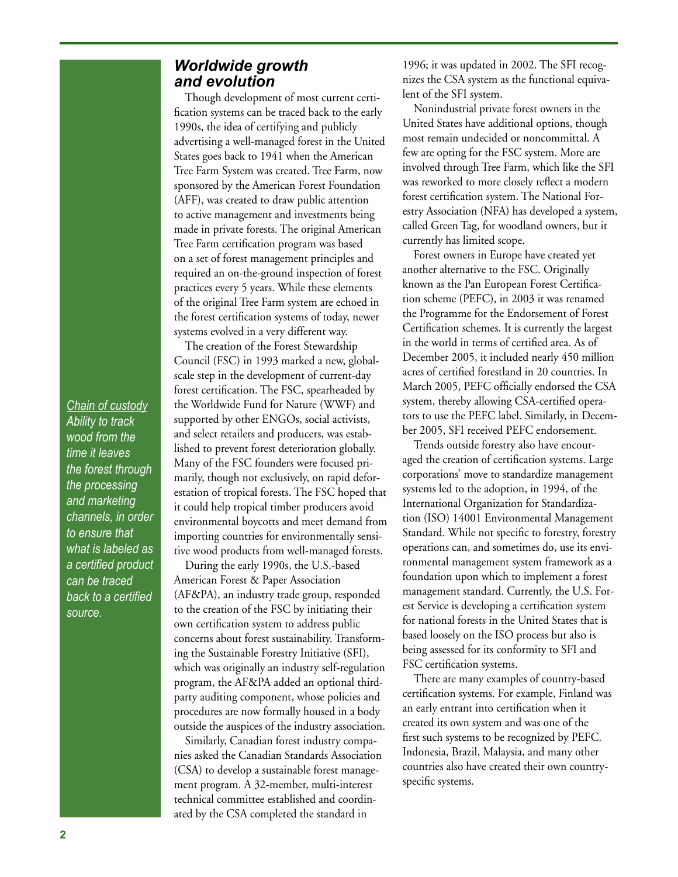## *Chain of custody Ability to track wood from the time it leaves the forest through the processing and marketing channels, in order to ensure that what is labeled as a certified product can be traced back to a certified source.*

# *Worldwide growth and evolution*

Though development of most current certification systems can be traced back to the early 1990s, the idea of certifying and publicly advertising a well-managed forest in the United States goes back to 1941 when the American Tree Farm System was created. Tree Farm, now sponsored by the American Forest Foundation (AFF), was created to draw public attention to active management and investments being made in private forests. The original American Tree Farm certification program was based on a set of forest management principles and required an on-the-ground inspection of forest practices every 5 years. While these elements of the original Tree Farm system are echoed in the forest certification systems of today, newer systems evolved in a very different way.

The creation of the Forest Stewardship Council (FSC) in 1993 marked a new, globalscale step in the development of current-day forest certification. The FSC, spearheaded by the Worldwide Fund for Nature (WWF) and supported by other ENGOs, social activists, and select retailers and producers, was established to prevent forest deterioration globally. Many of the FSC founders were focused primarily, though not exclusively, on rapid deforestation of tropical forests. The FSC hoped that it could help tropical timber producers avoid environmental boycotts and meet demand from importing countries for environmentally sensitive wood products from well-managed forests.

During the early 1990s, the U.S.-based American Forest & Paper Association (AF&PA), an industry trade group, responded to the creation of the FSC by initiating their own certification system to address public concerns about forest sustainability. Transforming the Sustainable Forestry Initiative (SFI), which was originally an industry self-regulation program, the AF&PA added an optional thirdparty auditing component, whose policies and procedures are now formally housed in a body outside the auspices of the industry association.

Similarly, Canadian forest industry companies asked the Canadian Standards Association (CSA) to develop a sustainable forest management program. A 32-member, multi-interest technical committee established and coordinated by the CSA completed the standard in

1996; it was updated in 2002. The SFI recognizes the CSA system as the functional equivalent of the SFI system.

Nonindustrial private forest owners in the United States have additional options, though most remain undecided or noncommittal. A few are opting for the FSC system. More are involved through Tree Farm, which like the SFI was reworked to more closely reflect a modern forest certification system. The National Forestry Association (NFA) has developed a system, called Green Tag, for woodland owners, but it currently has limited scope.

Forest owners in Europe have created yet another alternative to the FSC. Originally known as the Pan European Forest Certification scheme (PEFC), in 2003 it was renamed the Programme for the Endorsement of Forest Certification schemes. It is currently the largest in the world in terms of certified area. As of December 2005, it included nearly 450 million acres of certified forestland in 20 countries. In March 2005, PEFC officially endorsed the CSA system, thereby allowing CSA-certified operators to use the PEFC label. Similarly, in December 2005, SFI received PEFC endorsement.

Trends outside forestry also have encouraged the creation of certification systems. Large corporations' move to standardize management systems led to the adoption, in 1994, of the International Organization for Standardization (ISO) 14001 Environmental Management Standard. While not specific to forestry, forestry operations can, and sometimes do, use its environmental management system framework as a foundation upon which to implement a forest management standard. Currently, the U.S. Forest Service is developing a certification system for national forests in the United States that is based loosely on the ISO process but also is being assessed for its conformity to SFI and FSC certification systems.

There are many examples of country-based certification systems. For example, Finland was an early entrant into certification when it created its own system and was one of the first such systems to be recognized by PEFC. Indonesia, Brazil, Malaysia, and many other countries also have created their own countryspecific systems.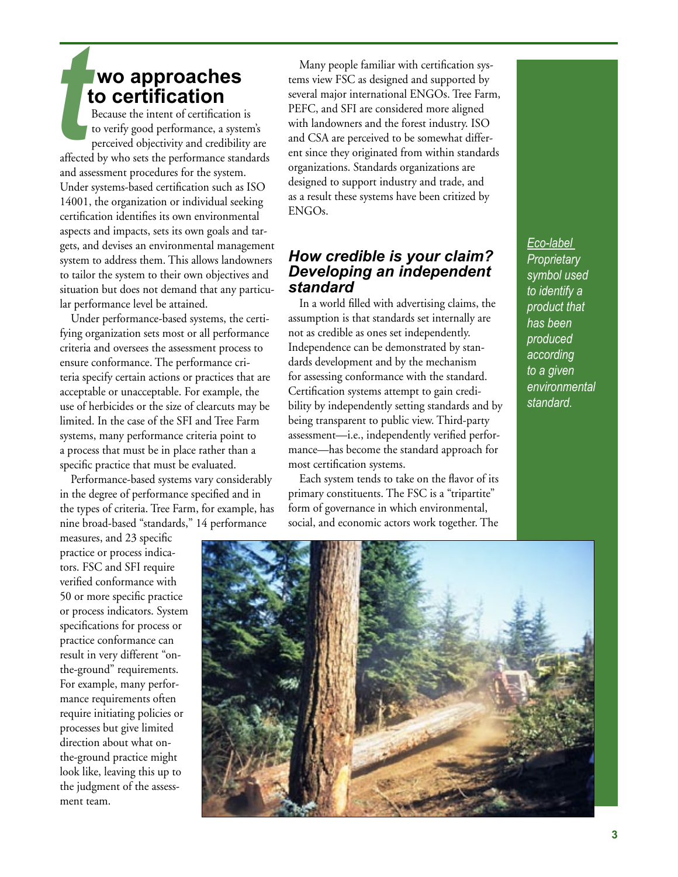# **wo approaches to certification**

*t*<br>affected Because the intent of certification is to verify good performance, a system's perceived objectivity and credibility are affected by who sets the performance standards and assessment procedures for the system. Under systems-based certification such as ISO 14001, the organization or individual seeking certification identifies its own environmental aspects and impacts, sets its own goals and targets, and devises an environmental management system to address them. This allows landowners to tailor the system to their own objectives and situation but does not demand that any particular performance level be attained.

Under performance-based systems, the certifying organization sets most or all performance criteria and oversees the assessment process to ensure conformance. The performance criteria specify certain actions or practices that are acceptable or unacceptable. For example, the use of herbicides or the size of clearcuts may be limited. In the case of the SFI and Tree Farm systems, many performance criteria point to a process that must be in place rather than a specific practice that must be evaluated.

Performance-based systems vary considerably in the degree of performance specified and in the types of criteria. Tree Farm, for example, has nine broad-based "standards," 14 performance

measures, and 23 specific practice or process indicators. FSC and SFI require verified conformance with 50 or more specific practice or process indicators. System specifications for process or practice conformance can result in very different "onthe-ground" requirements. For example, many performance requirements often require initiating policies or processes but give limited direction about what onthe-ground practice might look like, leaving this up to the judgment of the assessment team.

Many people familiar with certification systems view FSC as designed and supported by several major international ENGOs. Tree Farm, PEFC, and SFI are considered more aligned with landowners and the forest industry. ISO and CSA are perceived to be somewhat different since they originated from within standards organizations. Standards organizations are designed to support industry and trade, and as a result these systems have been critized by ENGOs.

# *How credible is your claim? Developing an independent standard*

In a world filled with advertising claims, the assumption is that standards set internally are not as credible as ones set independently. Independence can be demonstrated by standards development and by the mechanism for assessing conformance with the standard. Certification systems attempt to gain credibility by independently setting standards and by being transparent to public view. Third-party assessment—i.e., independently verified performance—has become the standard approach for most certification systems.

Each system tends to take on the flavor of its primary constituents. The FSC is a "tripartite" form of governance in which environmental, social, and economic actors work together. The

*Eco-label Proprietary symbol used to identify a product that has been produced according to a given environmental standard.*

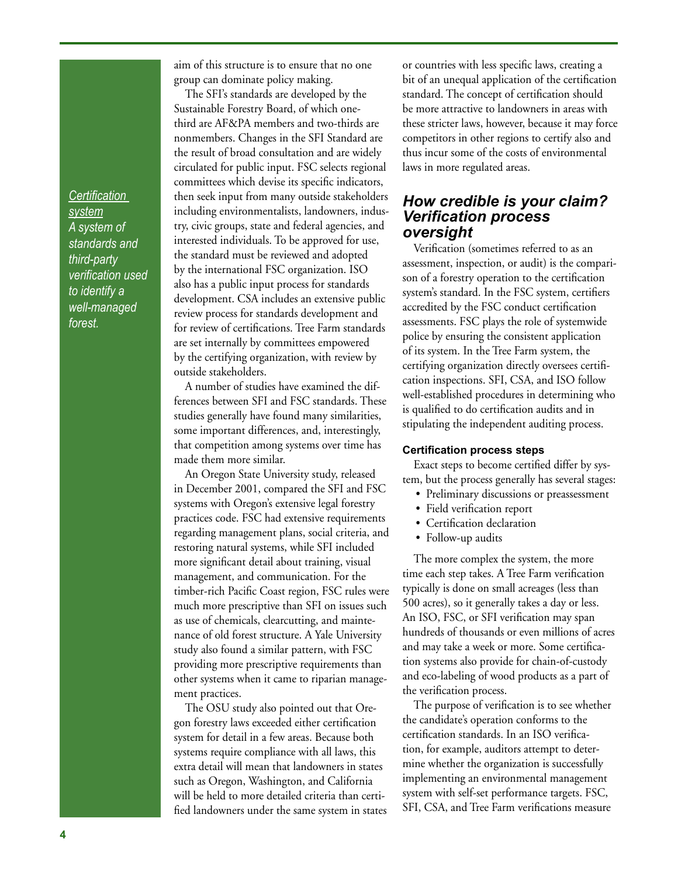*Certification system A system of standards and third-party verification used to identify a well-managed forest.*

aim of this structure is to ensure that no one group can dominate policy making.

The SFI's standards are developed by the Sustainable Forestry Board, of which onethird are AF&PA members and two-thirds are nonmembers. Changes in the SFI Standard are the result of broad consultation and are widely circulated for public input. FSC selects regional committees which devise its specific indicators, then seek input from many outside stakeholders including environmentalists, landowners, industry, civic groups, state and federal agencies, and interested individuals. To be approved for use, the standard must be reviewed and adopted by the international FSC organization. ISO also has a public input process for standards development. CSA includes an extensive public review process for standards development and for review of certifications. Tree Farm standards are set internally by committees empowered by the certifying organization, with review by outside stakeholders.

A number of studies have examined the differences between SFI and FSC standards. These studies generally have found many similarities, some important differences, and, interestingly, that competition among systems over time has made them more similar.

An Oregon State University study, released in December 2001, compared the SFI and FSC systems with Oregon's extensive legal forestry practices code. FSC had extensive requirements regarding management plans, social criteria, and restoring natural systems, while SFI included more significant detail about training, visual management, and communication. For the timber-rich Pacific Coast region, FSC rules were much more prescriptive than SFI on issues such as use of chemicals, clearcutting, and maintenance of old forest structure. A Yale University study also found a similar pattern, with FSC providing more prescriptive requirements than other systems when it came to riparian management practices.

The OSU study also pointed out that Oregon forestry laws exceeded either certification system for detail in a few areas. Because both systems require compliance with all laws, this extra detail will mean that landowners in states such as Oregon, Washington, and California will be held to more detailed criteria than certified landowners under the same system in states or countries with less specific laws, creating a bit of an unequal application of the certification standard. The concept of certification should be more attractive to landowners in areas with these stricter laws, however, because it may force competitors in other regions to certify also and thus incur some of the costs of environmental laws in more regulated areas.

### *How credible is your claim? Verification process oversight*

Verification (sometimes referred to as an assessment, inspection, or audit) is the comparison of a forestry operation to the certification system's standard. In the FSC system, certifiers accredited by the FSC conduct certification assessments. FSC plays the role of systemwide police by ensuring the consistent application of its system. In the Tree Farm system, the certifying organization directly oversees certification inspections. SFI, CSA, and ISO follow well-established procedures in determining who is qualified to do certification audits and in stipulating the independent auditing process.

#### **Certification process steps**

Exact steps to become certified differ by system, but the process generally has several stages:

- Preliminary discussions or preassessment
- Field verification report
- Certification declaration
- Follow-up audits

The more complex the system, the more time each step takes. A Tree Farm verification typically is done on small acreages (less than 500 acres), so it generally takes a day or less. An ISO, FSC, or SFI verification may span hundreds of thousands or even millions of acres and may take a week or more. Some certification systems also provide for chain-of-custody and eco-labeling of wood products as a part of the verification process.

The purpose of verification is to see whether the candidate's operation conforms to the certification standards. In an ISO verification, for example, auditors attempt to determine whether the organization is successfully implementing an environmental management system with self-set performance targets. FSC, SFI, CSA, and Tree Farm verifications measure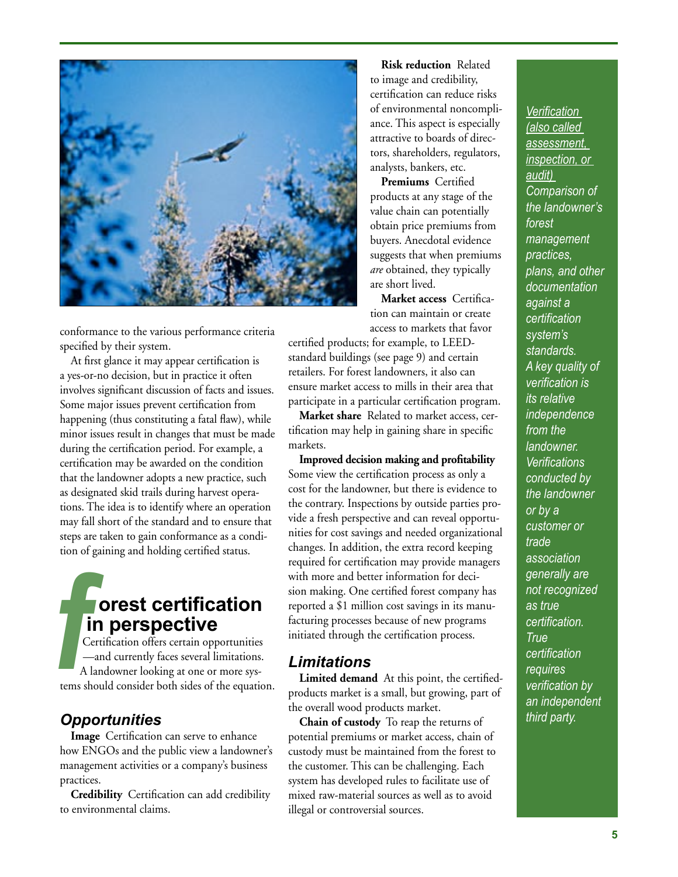

conformance to the various performance criteria specified by their system.

At first glance it may appear certification is a yes-or-no decision, but in practice it often involves significant discussion of facts and issues. Some major issues prevent certification from happening (thus constituting a fatal flaw), while minor issues result in changes that must be made during the certification period. For example, a certification may be awarded on the condition that the landowner adopts a new practice, such as designated skid trails during harvest operations. The idea is to identify where an operation may fall short of the standard and to ensure that steps are taken to gain conformance as a condition of gaining and holding certified status.

# **orest certification in perspective**

 Certification offers certain opportunities —and currently faces several limitations. A landowner looking at one or more systems should consider both sides of the equation.  $\frac{f}{f}$ <br> $\frac{f}{f}$ <br> $\frac{f}{f}$ <br> $\frac{f}{f}$ <br> $\frac{f}{f}$ <br> $\frac{f}{f}$ <br> $\frac{f}{f}$ <br> $\frac{f}{f}$ <br> $\frac{f}{f}$ <br> $\frac{f}{f}$ 

# *Opportunities*

**Image** Certification can serve to enhance how ENGOs and the public view a landowner's management activities or a company's business practices.

**Credibility** Certification can add credibility to environmental claims.

**Risk reduction** Related to image and credibility, certification can reduce risks of environmental noncompliance. This aspect is especially attractive to boards of directors, shareholders, regulators, analysts, bankers, etc.

**Premiums** Certified products at any stage of the value chain can potentially obtain price premiums from buyers. Anecdotal evidence suggests that when premiums *are* obtained, they typically are short lived.

**Market access** Certification can maintain or create access to markets that favor

certified products; for example, to LEEDstandard buildings (see page 9) and certain retailers. For forest landowners, it also can ensure market access to mills in their area that participate in a particular certification program.

**Market share** Related to market access, certification may help in gaining share in specific markets.

**Improved decision making and profitability** Some view the certification process as only a cost for the landowner, but there is evidence to the contrary. Inspections by outside parties provide a fresh perspective and can reveal opportunities for cost savings and needed organizational changes. In addition, the extra record keeping required for certification may provide managers with more and better information for decision making. One certified forest company has reported a \$1 million cost savings in its manufacturing processes because of new programs initiated through the certification process.

# *Limitations*

**Limited demand** At this point, the certifiedproducts market is a small, but growing, part of the overall wood products market.

**Chain of custody** To reap the returns of potential premiums or market access, chain of custody must be maintained from the forest to the customer. This can be challenging. Each system has developed rules to facilitate use of mixed raw-material sources as well as to avoid illegal or controversial sources.

*Verification (also called assessment, inspection, or audit) Comparison of the landowner's forest management practices, plans, and other documentation against a certification system's standards. A key quality of verification is its relative independence from the landowner. Verifications conducted by the landowner or by a customer or trade association generally are not recognized as true certification. True certification requires verification by an independent third party.*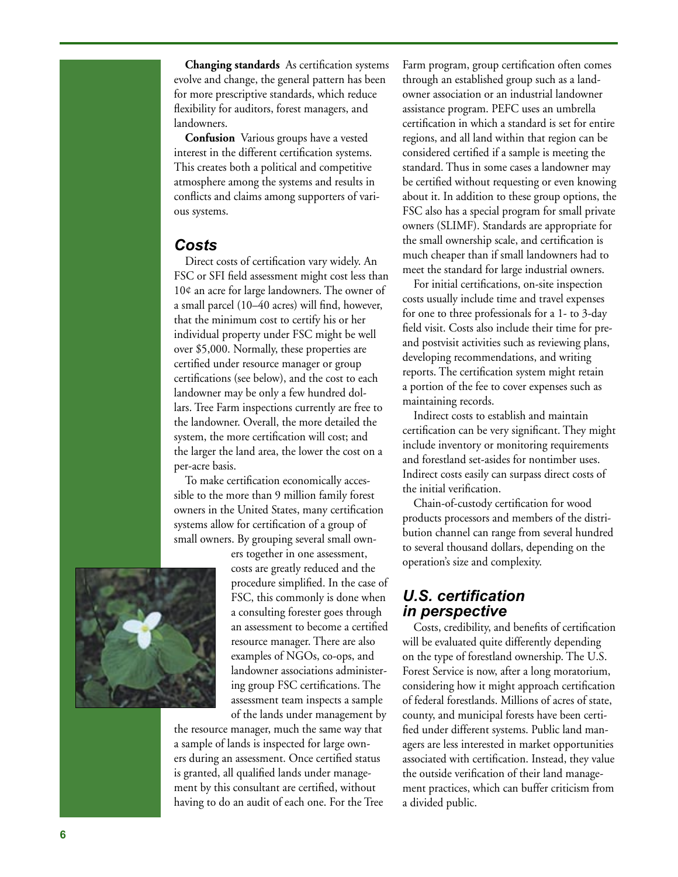**Changing standards** As certification systems evolve and change, the general pattern has been for more prescriptive standards, which reduce flexibility for auditors, forest managers, and landowners.

**Confusion** Various groups have a vested interest in the different certification systems. This creates both a political and competitive atmosphere among the systems and results in conflicts and claims among supporters of vari ous systems.

# *Costs*

Direct costs of certification vary widely. An FSC or SFI field assessment might cost less than 10¢ an acre for large landowners. The owner of a small parcel (10–40 acres) will find, however, that the minimum cost to certify his or her individual property under FSC might be well over \$5,000. Normally, these properties are certified under resource manager or group certifications (see below), and the cost to each landowner may be only a few hundred dol lars. Tree Farm inspections currently are free to the landowner. Overall, the more detailed the system, the more certification will cost; and the larger the land area, the lower the cost on a per-acre basis.

To make certification economically acces sible to the more than 9 million family forest owners in the United States, many certification systems allow for certification of a group of small owners. By grouping several small own -



ers together in one assessment, costs are greatly reduced and the procedure simplified. In the case of FSC, this commonly is done when a consulting forester goes through an assessment to become a certified resource manager. There are also examples of NGOs, co-ops, and landowner associations administer ing group FSC certifications. The assessment team inspects a sample of the lands under management by

the resource manager, much the same way that a sample of lands is inspected for large own ers during an assessment. Once certified status is granted, all qualified lands under manage ment by this consultant are certified, without having to do an audit of each one. For the Tree Farm program, group certification often comes through an established group such as a land owner association or an industrial landowner assistance program. PEFC uses an umbrella certification in which a standard is set for entire regions, and all land within that region can be considered certified if a sample is meeting the standard. Thus in some cases a landowner may be certified without requesting or even knowing about it. In addition to these group options, the FSC also has a special program for small private owners (SLIMF). Standards are appropriate for the small ownership scale, and certification is much cheaper than if small landowners had to meet the standard for large industrial owners.

For initial certifications, on-site inspection costs usually include time and travel expenses for one to three professionals for a 1- to 3-day field visit. Costs also include their time for preand postvisit activities such as reviewing plans, developing recommendations, and writing reports. The certification system might retain a portion of the fee to cover expenses such as maintaining records.

Indirect costs to establish and maintain certification can be very significant. They might include inventory or monitoring requirements and forestland set-asides for nontimber uses. Indirect costs easily can surpass direct costs of the initial verification.

Chain-of-custody certification for wood products processors and members of the distri bution channel can range from several hundred to several thousand dollars, depending on the operation's size and complexity.

# *U.S. certification in perspective*

Costs, credibility, and benefits of certification will be evaluated quite differently depending on the type of forestland ownership. The U.S. Forest Service is now, after a long moratorium, considering how it might approach certification of federal forestlands. Millions of acres of state, county, and municipal forests have been certi fied under different systems. Public land man agers are less interested in market opportunities associated with certification. Instead, they value the outside verification of their land manage ment practices, which can buffer criticism from a divided public.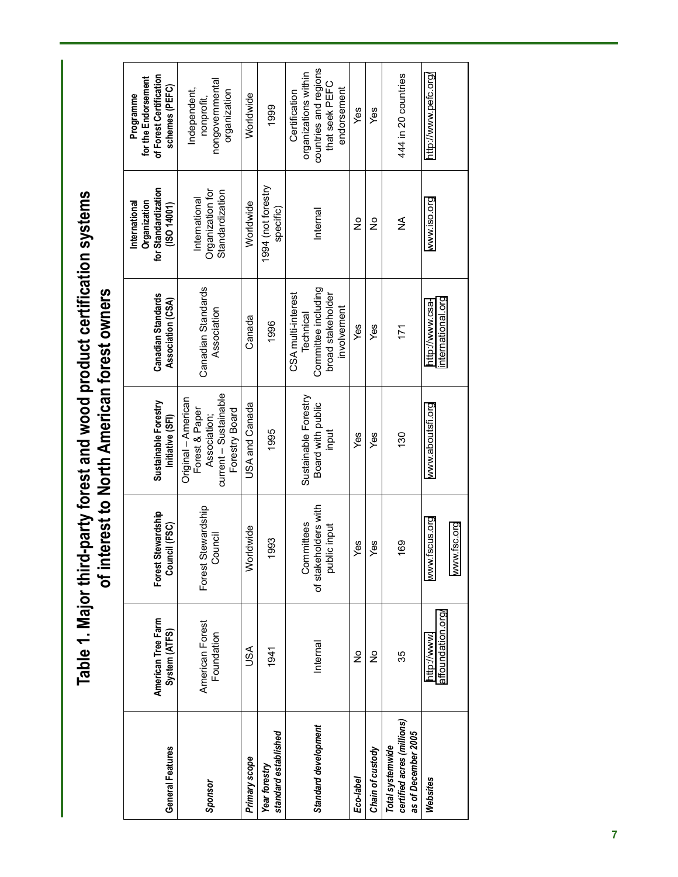Table 1. Major third-party forest and wood product certification systems<br>of interest to North American forest owners **Table 1. Major third-party forest and wood product certification systems of interest to North American forest owners**

| General Features                                                      | American Tree Farm<br>System (ATFS) | Forest Stewardship<br>Council (FSC)                    | Sustainable Forestry<br>Initiative (SFI)                                                         | Canadian Standards<br>Association (CSA)                                                    | for Standardization<br>Organization<br>International<br>(ISO 14001) | of Forest Certification<br>for the Endorsement<br>schemes (PEFC)<br>Programme                   |
|-----------------------------------------------------------------------|-------------------------------------|--------------------------------------------------------|--------------------------------------------------------------------------------------------------|--------------------------------------------------------------------------------------------|---------------------------------------------------------------------|-------------------------------------------------------------------------------------------------|
| Sponsor                                                               | American Forest<br>Foundation       | Forest Stewardship<br>Council                          | current - Sustainable<br>Original - American<br>Forest & Paper<br>Forestry Board<br>Association; | Canadian Standards<br>Association                                                          | Organization for<br>Standardization<br>International                | nongovernmental<br>Independent,<br>organization<br>nonprofit,                                   |
| Primary scope                                                         | USA                                 | Idwide<br>yorl                                         | USA and Canada                                                                                   | Canada                                                                                     | Worldwide                                                           | Worldwide                                                                                       |
| standard established<br>Year forestry                                 | 1941                                | 993                                                    | 1995                                                                                             | 1996                                                                                       | 1994 (not forestry<br>specific)                                     | 1999                                                                                            |
| Standard development                                                  | Internal                            | of stakeholders with<br>Committees<br>ic input<br>jqno | Sustainable Forestry<br>Board with public<br>input                                               | Committee including<br>CSA multi-interest<br>broad stakeholder<br>involvement<br>Technical | Internal                                                            | countries and regions<br>organizations within<br>that seek PEFC<br>endorsement<br>Certification |
| Eco-label                                                             | ş                                   | es<br>                                                 | Yes                                                                                              | Yes                                                                                        | $\frac{1}{2}$                                                       | Yes                                                                                             |
| Chain of custody                                                      | ş                                   | Yes                                                    | Yes                                                                                              | Yes                                                                                        | ş                                                                   | Yes                                                                                             |
| certified acres (millions)<br>as of December 2005<br>Total systemwide | 35                                  | $\frac{8}{3}$                                          | 130                                                                                              | 171                                                                                        | ≨                                                                   | 444 in 20 countries                                                                             |
| Websites                                                              | affoundation.org/<br>http://www.    | iscus.org<br>www.fsc.org<br>www.f                      | www.aboutsfi.org                                                                                 | international.org<br>http://www.csa-                                                       | www.iso.org                                                         | http://www.pefc.org/                                                                            |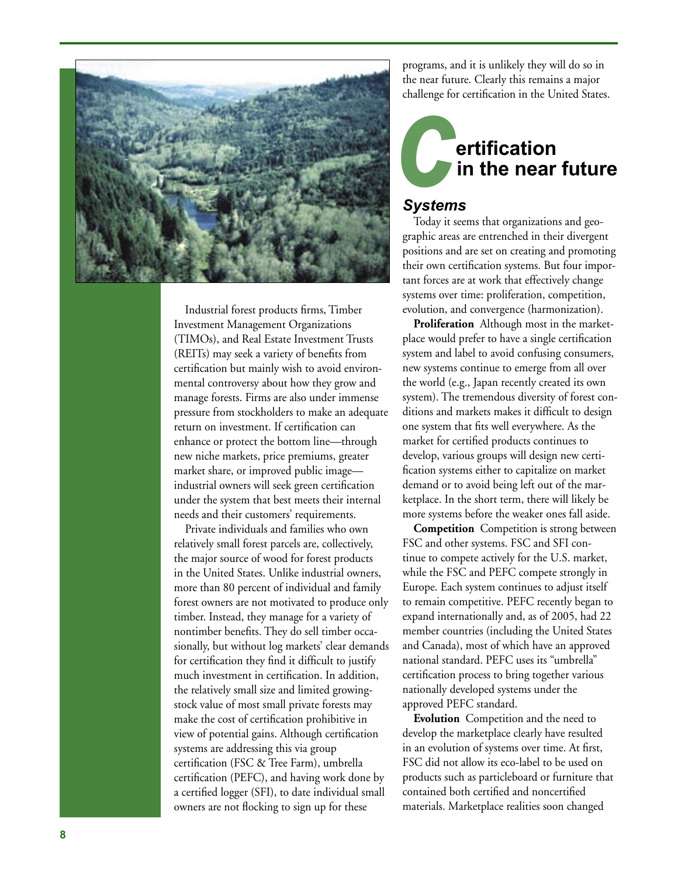

Industrial forest products firms, Timber Investment Management Organizations (TIMOs), and Real Estate Investment Trusts (REITs) may seek a variety of benefits from certification but mainly wish to avoid environ mental controversy about how they grow and manage forests. Firms are also under immense pressure from stockholders to make an adequate return on investment. If certification can enhance or protect the bottom line—through new niche markets, price premiums, greater market share, or improved public image industrial owners will seek green certification under the system that best meets their internal needs and their customers' requirements.

Private individuals and families who own relatively small forest parcels are, collectively, the major source of wood for forest products in the United States. Unlike industrial owners, more than 80 percent of individual and family forest owners are not motivated to produce only timber. Instead, they manage for a variety of nontimber benefits. They do sell timber occa sionally, but without log markets' clear demands for certification they find it difficult to justify much investment in certification. In addition, the relatively small size and limited growingstock value of most small private forests may make the cost of certification prohibitive in view of potential gains. Although certification systems are addressing this via group certification (FSC & Tree Farm), umbrella certification (PEFC), and having work done by a certified logger (SFI), to date individual small owners are not flocking to sign up for these

programs, and it is unlikely they will do so in the near future. Clearly this remains a major challenge for certification in the United States.

# **ertification in the near future**

## *Systems*

Today it seems that organizations and geo graphic areas are entrenched in their divergent positions and are set on creating and promoting their own certification systems. But four impor tant forces are at work that effectively change systems over time: proliferation, competition, evolution, and convergence (harmonization).

**Proliferation** Although most in the market place would prefer to have a single certification system and label to avoid confusing consumers, new systems continue to emerge from all over the world (e.g., Japan recently created its own system). The tremendous diversity of forest con ditions and markets makes it difficult to design one system that fits well everywhere. As the market for certified products continues to develop, various groups will design new certi fication systems either to capitalize on market demand or to avoid being left out of the mar ketplace. In the short term, there will likely be more systems before the weaker ones fall aside. me mear future. Clearly this remains a major<br>challenge for certification in the United States<br>rolay it seems that organizations and geographic areas are entrenched in their divergent<br>positions and a great on creating and p

**Competition** Competition is strong between FSC and other systems. FSC and SFI con tinue to compete actively for the U.S. market, while the FSC and PEFC compete strongly in Europe. Each system continues to adjust itself to remain competitive. PEFC recently began to expand internationally and, as of 2005, had 22 member countries (including the United States and Canada), most of which have an approved national standard. PEFC uses its "umbrella" certification process to bring together various nationally developed systems under the approved PEFC standard.

**Evolution** Competition and the need to develop the marketplace clearly have resulted in an evolution of systems over time. At first, FSC did not allow its eco-label to be used on products such as particleboard or furniture that contained both certified and noncertified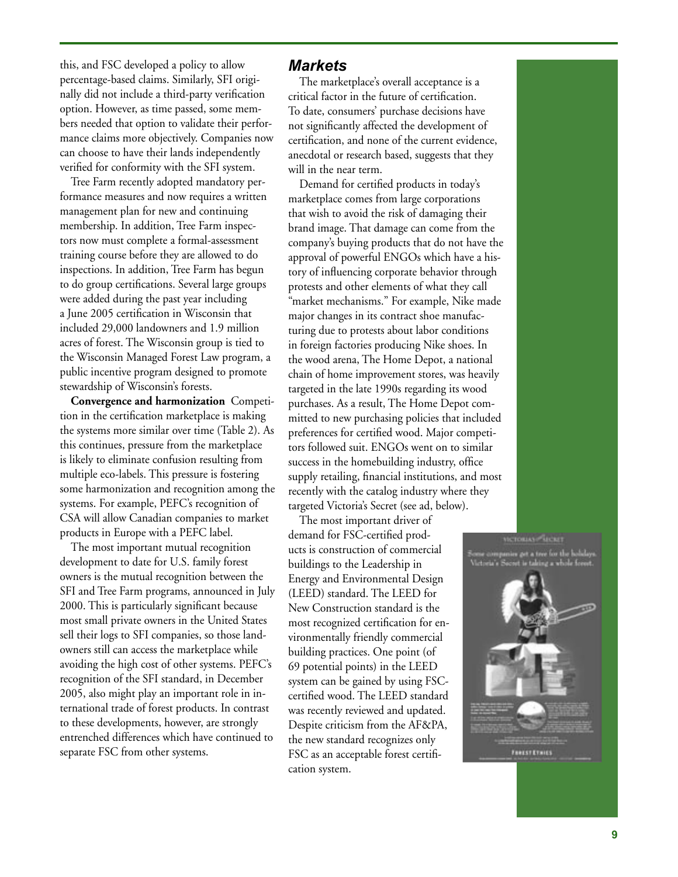this, and FSC developed a policy to allow percentage-based claims. Similarly, SFI origi nally did not include a third-party verification option. However, as time passed, some mem bers needed that option to validate their perfor mance claims more objectively. Companies now can choose to have their lands independently verified for conformity with the SFI system.

Tree Farm recently adopted mandatory performance measures and now requires a written management plan for new and continuing membership. In addition, Tree Farm inspec tors now must complete a formal-assessment training course before they are allowed to do inspections. In addition, Tree Farm has begun to do group certifications. Several large groups were added during the past year including a June 2005 certification in Wisconsin that included 29,000 landowners and 1.9 million acres of forest. The Wisconsin group is tied to the Wisconsin Managed Forest Law program, a public incentive program designed to promote stewardship of Wisconsin's forests.

**Convergence and harmonization** Competi tion in the certification marketplace is making the systems more similar over time (Table 2). As this continues, pressure from the marketplace is likely to eliminate confusion resulting from multiple eco-labels. This pressure is fostering some harmonization and recognition among the systems. For example, PEFC's recognition of CSA will allow Canadian companies to market products in Europe with a PEFC label.

The most important mutual recognition development to date for U.S. family forest owners is the mutual recognition between the SFI and Tree Farm programs, announced in July 2000. This is particularly significant because most small private owners in the United States sell their logs to SFI companies, so those land owners still can access the marketplace while avoiding the high cost of other systems. PEFC's recognition of the SFI standard, in December 2005, also might play an important role in in ternational trade of forest products. In contrast to these developments, however, are strongly entrenched differences which have continued to separate FSC from other systems.

### *Markets*

The marketplace's overall acceptance is a critical factor in the future of certification. To date, consumers' purchase decisions have not significantly affected the development of certification, and none of the current evidence, anecdotal or research based, suggests that they will in the near term.

Demand for certified products in today's marketplace comes from large corporations that wish to avoid the risk of damaging their brand image. That damage can come from the company's buying products that do not have the approval of powerful ENGOs which have a his tory of influencing corporate behavior through protests and other elements of what they call "market mechanisms." For example, Nike made major changes in its contract shoe manufac turing due to protests about labor conditions in foreign factories producing Nike shoes. In the wood arena, The Home Depot, a national chain of home improvement stores, was heavily targeted in the late 1990s regarding its wood purchases. As a result, The Home Depot com mitted to new purchasing policies that included preferences for certified wood. Major competi tors followed suit. ENGOs went on to similar success in the homebuilding industry, office supply retailing, financial institutions, and most recently with the catalog industry where they targeted Victoria's Secret (see ad, below).

The most important driver of demand for FSC-certified prod ucts is construction of commercial buildings to the Leadership in Energy and Environmental Design (LEED) standard. The LEED for New Construction standard is the most recognized certification for en vironmentally friendly commercial building practices. One point (of 69 potential points) in the LEED system can be gained by using FSCcertified wood. The LEED standard was recently reviewed and updated. Despite criticism from the AF&PA, the new standard recognizes only FSC as an acceptable forest certifi cation system.

a get a tree for the holida **THESTETHIES**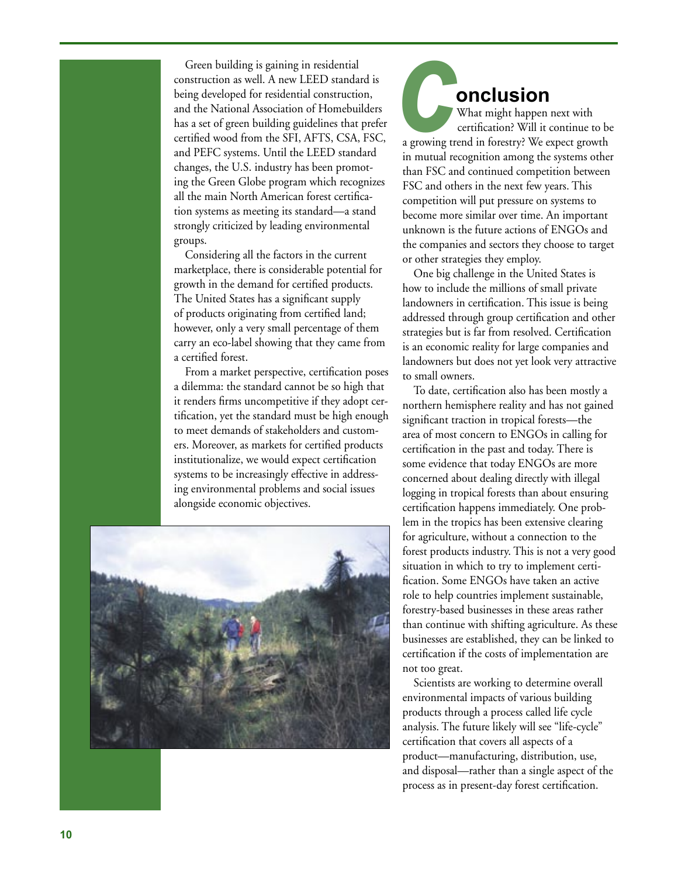Green building is gaining in residential construction as well. A new LEED standard is being developed for residential construction, and the National Association of Homebuilders has a set of green building guidelines that prefer certified wood from the SFI, AFTS, CSA, FSC, and PEFC systems. Until the LEED standard changes, the U.S. industry has been promot ing the Green Globe program which recognizes all the main North American forest certifica tion systems as meeting its standard—a stand strongly criticized by leading environmental groups.

Considering all the factors in the current marketplace, there is considerable potential for growth in the demand for certified products. The United States has a significant supply of products originating from certified land; however, only a very small percentage of them carry an eco-label showing that they came from a certified forest.

From a market perspective, certification poses a dilemma: the standard cannot be so high that it renders firms uncompetitive if they adopt cer tification, yet the standard must be high enough to meet demands of stakeholders and custom ers. Moreover, as markets for certified products institutionalize, we would expect certification systems to be increasingly effective in address ing environmental problems and social issues alongside economic objectives.



# **onclusion**

 What might happen next with certification? Will it continue to be a growing trend in forestry? We expect growth in mutual recognition among the systems other than FSC and continued competition between FSC and others in the next few years. This competition will put pressure on systems to become more similar over time. An important unknown is the future actions of ENGOs and the companies and sectors they choose to target or other strategies they employ.

One big challenge in the United States is how to include the millions of small private landowners in certification. This issue is being addressed through group certification and other strategies but is far from resolved. Certification is an economic reality for large companies and landowners but does not yet look very attractive to small owners.

To date, certification also has been mostly a northern hemisphere reality and has not gained significant traction in tropical forests—the area of most concern to ENGOs in calling for certification in the past and today. There is some evidence that today ENGOs are more concerned about dealing directly with illegal logging in tropical forests than about ensuring certification happens immediately. One prob lem in the tropics has been extensive clearing for agriculture, without a connection to the forest products industry. This is not a very good situation in which to try to implement certi fication. Some ENGOs have taken an active role to help countries implement sustainable, forestry-based businesses in these areas rather than continue with shifting agriculture. As these businesses are established, they can be linked to certification if the costs of implementation are not too great. process as in present-day forest certification. *c*

Scientists are working to determine overall environmental impacts of various building products through a process called life cycle analysis. The future likely will see "life-cycle" certification that covers all aspects of a product—manufacturing, distribution, use, and disposal—rather than a single aspect of the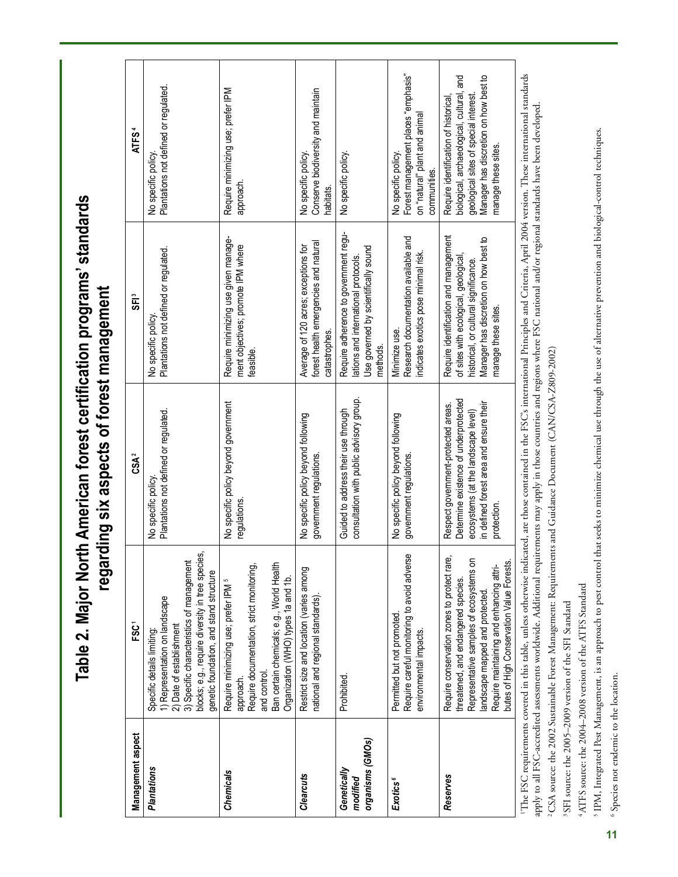**Table 2. Major North American forest certification programs' standards**  Table 2. Major North American forest certification programs' standards regarding six aspects of forest management **regarding six aspects of forest management**

| Management aspect                           | FSC <sup>1</sup>                                                                                                                                                                                                                                        | CSA <sup>2</sup>                                                                                                                                                             | SF <sub>i</sub>                                                                                                                                                                         | <b>ATFS<sup>4</sup></b>                                                                                                                                                                    |
|---------------------------------------------|---------------------------------------------------------------------------------------------------------------------------------------------------------------------------------------------------------------------------------------------------------|------------------------------------------------------------------------------------------------------------------------------------------------------------------------------|-----------------------------------------------------------------------------------------------------------------------------------------------------------------------------------------|--------------------------------------------------------------------------------------------------------------------------------------------------------------------------------------------|
| Plantations                                 | blocks; e.g., require diversity in tree species<br>3) Specific characteristics of management<br>genetic foundation, and stand structure<br>1) Representation on landscape<br>2) Date of establishment<br>Specific details limiting:                     | Plantations not defined or regulated.<br>No specific policy                                                                                                                  | Plantations not defined or regulated.<br>No specific policy                                                                                                                             | Plantations not defined or regulated.<br>No specific policy                                                                                                                                |
| Chemicals                                   | Ban certain chemicals; e.g., World Health<br>Require documentation, strict monitoring,<br>Organization (WHO) types 1a and 1b.<br>Require minimizing use; prefer IPM <sup>5</sup><br>and control.<br>approach.                                           | No specific policy beyond government<br>regulations                                                                                                                          | Require minimizing use given manage-<br>ment objectives; promote IPM where<br>feasible                                                                                                  | Require minimizing use; prefer IPM<br>approach.                                                                                                                                            |
| <b>Clearcuts</b>                            | Restrict size and location (varies among<br>ational and regional standards)                                                                                                                                                                             | No specific policy beyond following<br>government regulations.                                                                                                               | forest health emergencies and natural<br>Average of 120 acres; exceptions for<br>catastrophes.                                                                                          | Conserve biodiversity and maintain<br>No specific policy.<br>nabitats.                                                                                                                     |
| organisms (GMOs)<br>Genetically<br>modified | Prohibited                                                                                                                                                                                                                                              | consultation with public advisory group.<br>Guided to address their use through                                                                                              | Require adherence to government regu-<br>Use governed by scientifically sound<br>lations and international protocols.<br>methods.                                                       | No specific policy.                                                                                                                                                                        |
| Exotics <sup>6</sup>                        | Require careful monitoring to avoid adverse<br>Permitted but not promoted<br>environmental impacts.                                                                                                                                                     | No specific policy beyond following<br>government regulations.                                                                                                               | Research documentation available and<br>indicates exotics pose minimal risk.<br>Minimize use.                                                                                           | Forest management places "emphasis"<br>on "natural" plant and animal<br>No specific policy.<br>communities.                                                                                |
| Reserves                                    | Require conservation zones to protect rare,<br>Representative samples of ecosystems on<br>butes of High Conservation Value Forests.<br>Require maintaining and enhancing attri-<br>threatened, and endangered species<br>landscape mapped and protected | Determine existence of underprotected<br>in defined forest area and ensure their<br>Respect government-protected areas.<br>ecosystems (at the landscape level)<br>protection | Require identification and management<br>Manager has discretion on how best to<br>of sites with ecological, geological,<br>historical, or cultural significance.<br>manage these sites. | biological, archaeological, cultural, and<br>Manager has discretion on how best to<br>geological sites of special interest.<br>Require identification of historical<br>manage these sites. |
|                                             | IThe ESC requirements covered in this toble unless otherwise indicated are those contained in the ESC's international Principles and Criteria April 2004 version These international standards                                                          |                                                                                                                                                                              |                                                                                                                                                                                         |                                                                                                                                                                                            |

1The FSC requirements covered in this table, unless otherwise indicated, are those contained in the FSC's international Principles and Criteria, April 2004 version. These international standards ' 1 he FSC requirements covered in this table, unless otherwise indicated, are those contained in the FSC's international Principles and Criteria, April 2004 version. I hese international standards apply to all FSC-accredi apply to all FSC-accredited assessments worldwide. Additional requirements may apply in those countries and regions where FSC national and/or regional standards have been developed.

<sup>2</sup>CSA source: the 2002 Sustainable Forest Management: Requirements and Guidance Document (CAN/CSA-Z809-2002) 2CSA source: the 2002 Sustainable Forest Management: Requirements and Guidance Document (CAN/CSA-Z809-2002)

SFI source: the 2005-2009 version of the SFI Standard SFI source: the 2005–2009 version of the SFI Standard

ATFS source: the 2004-2008 version of the ATFS Standard 4ATFS source: the 2004–2008 version of the ATFS Standard

<sup>5</sup> IPM, Integrated Pest Management, is an approach to pest control that seeks to minimize chemical use through the use of alternative prevention and biological-control techniques. 5 IPM, Integrated Pest Management, is an approach to pest control that seeks to minimize chemical use through the use of alternative prevention and biological-control techniques.

<sup>6</sup> Species not endemic to the location. 6 Species not endemic to the location.**11**